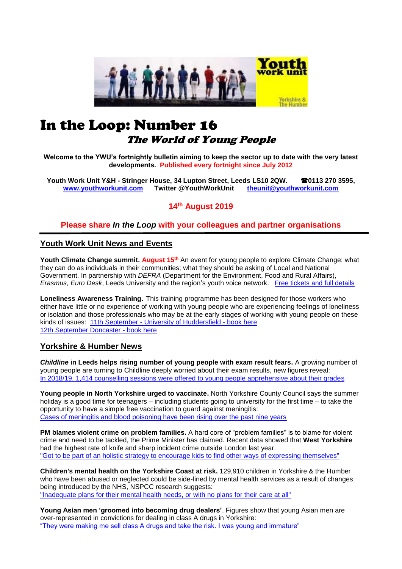

# In the Loop: Number 16 The World of Young People

**Welcome to the YWU's fortnightly bulletin aiming to keep the sector up to date with the very latest developments. Published every fortnight since July 2012**

**Youth Work Unit Y&H - Stringer House, 34 Lupton Street, Leeds LS10 2QW. 0113 270 3595, [www.youthworkunit.com](http://www.youthworkunit.com/) Twitter @YouthWorkUnit [theunit@youthworkunit.com](mailto:theunit@youthworkunit.com)**

**14th August 2019**

## **Please share** *In the Loop* **with your colleagues and partner organisations**

#### **Youth Work Unit News and Events**

Youth Climate Change summit. August 15<sup>th</sup> An event for young people to explore Climate Change: what they can do as individuals in their communities; what they should be asking of Local and National Government. In partnership with *DEFRA* (Department for the Environment, Food and Rural Affairs), *Erasmus*, *Euro Desk*, Leeds University and the region's youth voice network. [Free tickets and full details](https://www.eventbrite.co.uk/e/youth-climate-change-summit-tickets-65246931328)

**Loneliness Awareness Training.** This training programme has been designed for those workers who either have little or no experience of working with young people who are experiencing feelings of loneliness or isolation and those professionals who may be at the early stages of working with young people on these kinds of issues: 11th September - [University of Huddersfield -](https://www.eventbrite.co.uk/e/loneliness-awareness-training-tickets-68253846091) book here [12th September Doncaster -](https://www.eventbrite.co.uk/e/loneliness-awareness-training-tickets-68254746785) book here

#### **Yorkshire & Humber News**

*Childline* **in Leeds helps rising number of young people with exam result fears.** A growing number of young people are turning to Childline deeply worried about their exam results, new figures reveal: [In 2018/19, 1,414 counselling sessions were offered to young people apprehensive about their grades](https://www.yorkshireeveningpost.co.uk/news/people/childline-in-leeds-helps-rising-number-of-young-people-with-exam-result-fears-1-9931421) 

**Young people in North Yorkshire urged to vaccinate.** North Yorkshire County Council says the summer holiday is a good time for teenagers – including students going to university for the first time – to take the opportunity to have a simple free vaccination to guard against meningitis: [Cases of meningitis and blood poisoning have been rising over the past nine years](https://www.minsterfm.com/news/local/2927623/young-people-in-north-yorkshire-urged-to-vaccinate/) 

**PM blames violent crime on problem families.** A hard core of "problem families" is to blame for violent crime and need to be tackled, the Prime Minister has claimed. Recent data showed that **West Yorkshire** had the highest rate of knife and sharp incident crime outside London last year. ["Got to be part of an holistic strategy to encourage kids to find other ways of expressing themselves"](https://www.yorkshirepost.co.uk/news/crime/pm-blames-violent-crime-on-problem-families-1-9933334)

**Children's mental health on the Yorkshire Coast at risk.** 129,910 children in Yorkshire & the Humber who have been abused or neglected could be side-lined by mental health services as a result of changes being introduced by the NHS, NSPCC research suggests: ["Inadequate plans for their mental health needs, or with no plans for their care at all"](https://www.yorkshirecoastradio.com/news/local-news/2930304/childrens-mental-health-on-the-yorkshire-coast-at-risk/)

**Young Asian men 'groomed into becoming drug dealers'**. Figures show that young Asian men are over-represented in convictions for dealing in class A drugs in Yorkshire: ["They were making me sell class A drugs and take the risk. I was young and immature"](https://www.easterneye.biz/young-asian-men-groomed-into-becoming-drug-dealers/)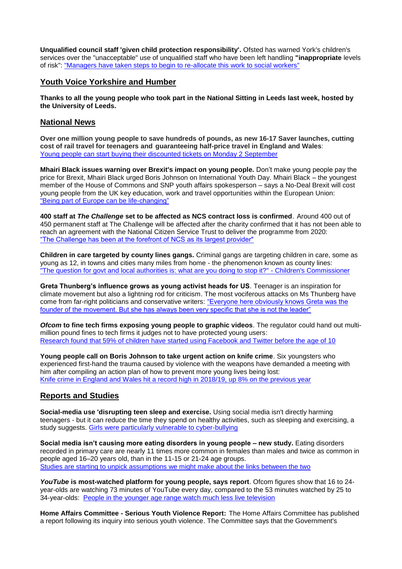**Unqualified council staff 'given child protection responsibility'.** Ofsted has warned York's children's services over the "unacceptable" use of unqualified staff who have been left handling **"inappropriate** levels of risk": ["Managers have taken steps to begin to re-allocate this work to social workers"](https://www.cypnow.co.uk/cyp/news/2007014/unqualified-council-staff-%E2%80%98given-child-protection-responsibility%E2%80%99)

#### **Youth Voice Yorkshire and Humber**

**Thanks to all the young people who took part in the National Sitting in Leeds last week, hosted by the University of Leeds.**

# **National News**

**Over one million young people to save hundreds of pounds, as new 16-17 Saver launches, cutting cost of rail travel for teenagers and guaranteeing half-price travel in England and Wales**: [Young people can start buying their discounted tickets on Monday 2 September](https://www.gov.uk/government/news/over-one-million-people-to-save-hundreds-as-new-16-17-saver-launches-cutting-cost-of-rail-travel-for-teenagers)

**Mhairi Black issues warning over Brexit's impact on young people.** Don't make young people pay the price for Brexit, Mhairi Black urged Boris Johnson on International Youth Day. Mhairi Black – the youngest member of the House of Commons and SNP youth affairs spokesperson – says a No-Deal Brexit will cost young people from the UK key education, work and travel opportunities within the European Union: ["Being part of Europe can be life-changing"](https://www.thenational.scot/news/17830230.young-people-will-pay-price-brexit-mhairi-black-warns/)

**400 staff at** *The Challenge* **set to be affected as NCS contract loss is confirmed**. Around 400 out of 450 permanent staff at The Challenge will be affected after the charity confirmed that it has not been able to reach an agreement with the National Citizen Service Trust to deliver the programme from 2020: ["The Challenge has been at the forefront of NCS as its largest provider"](https://www.civilsociety.co.uk/news/national-citizen-service-confirms-it-will-no-longer-contract-with-the-challenge.html#sthash.5lYElmNl.dpuf)

**Children in care targeted by county lines gangs.** Criminal gangs are targeting children in care, some as young as 12, in towns and cities many miles from home - the phenomenon known as county lines: ["The question for govt and local authorities is: what are you doing to stop it?" -](https://www.bbc.co.uk/news/av/uk-49329279/children-in-care-targeted-by-county-lines-gangs) Children's Commissioner

**Greta Thunberg's influence grows as young activist heads for US**. Teenager is an inspiration for climate movement but also a lightning rod for criticism. The most vociferous attacks on Ms Thunberg have come from far-right politicians and conservative writers: ["Everyone here obviously knows Greta was the](https://www.ft.com/content/c1fc37b4-bce4-11e9-89e2-41e555e96722)  [founder of the movement. But she has always been very specific that she is not the leader"](https://www.ft.com/content/c1fc37b4-bce4-11e9-89e2-41e555e96722) 

*Ofcom* **to fine tech firms exposing young people to graphic videos**. The regulator could hand out multimillion pound fines to tech firms it judges not to have protected young users: [Research found that 59% of children have started using Facebook and Twitter before the age of 10](https://www.businesscloud.co.uk/news/ofcom-to-fine-tech-firms-exposing-young-people-to-graphic-vi)

**Young people call on Boris Johnson to take urgent action on knife crime**. Six youngsters who experienced first-hand the trauma caused by violence with the weapons have demanded a meeting with him after compiling an action plan of how to prevent more young lives being lost: [Knife crime in England and Wales hit a record high in 2018/19, up 8% on the previous year](https://www.thecanary.co/uk/news/2019/08/08/young-people-call-on-boris-johnson-to-take-urgent-action-on-knife-crime/)

# **Reports and Studies**

**Social-media use 'disrupting teen sleep and exercise.** Using social media isn't directly harming teenagers - but it can reduce the time they spend on healthy activities, such as sleeping and exercising, a study suggests. Girls were particularly vulnerable to cyber-bullying

**Social media isn't causing more eating disorders in young people – new study.** Eating disorders recorded in primary care are nearly 11 times more common in females than males and twice as common in people aged 16–20 years old, than in the 11-15 or 21-24 age groups. [Studies are starting to unpick assumptions we might make about the links between the two](http://theconversation.com/social-media-isnt-causing-more-eating-disorders-in-young-people-new-study-119959)

*YouTube* **is most-watched platform for young people, says report**. Ofcom figures show that 16 to 24 year-olds are watching 73 minutes of YouTube every day, compared to the 53 minutes watched by 25 to 34-year-olds: [People in the younger age range](https://www.bbc.co.uk/newsround/49261194) watch much less live television

**Home Affairs Committee - Serious Youth Violence Report:** The Home Affairs Committee has published a report following its inquiry into serious youth violence. The Committee says that the Government's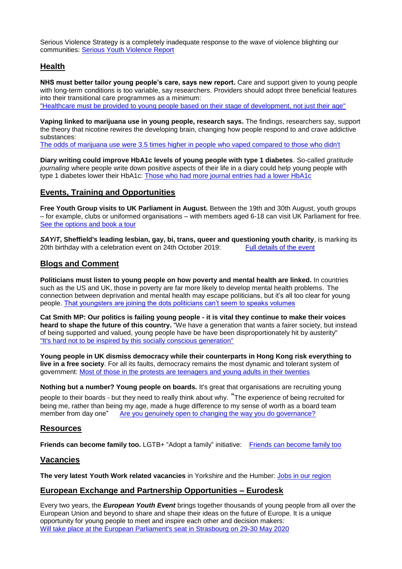Serious Violence Strategy is a completely inadequate response to the wave of violence blighting our communities: [Serious Youth Violence Report](https://publications.parliament.uk/pa/cm201719/cmselect/cmhaff/1016/101602.htm)

# **Health**

**NHS must better tailor young people's care, says new report.** Care and support given to young people with long-term conditions is too variable, say researchers. Providers should adopt three beneficial features into their transitional care programmes as a minimum: ["Healthcare must be provided to young people based on their stage of development, not just their age"](https://www.hsj.co.uk/service-design/nhs-must-better-tailor-young-peoples-care-says-new-report/7025728.article)

**Vaping linked to marijuana use in young people, research says.** The findings, researchers say, support the theory that nicotine rewires the developing brain, changing how people respond to and crave addictive substances:

[The odds of marijuana use were 3.5 times higher in people who vaped compared to those who didn't](https://edition.cnn.com/2019/08/12/health/e-cigarette-marijuana-young-people-study/index.html)

**Diary writing could improve HbA1c levels of young people with type 1 diabetes**. So-called *gratitude journaling* where people write down positive aspects of their life in a diary could help young people with type 1 diabetes lower their HbA1c: [Those who had more journal entries had a lower HbA1c](https://www.diabetes.co.uk/news/2019/aug/diary-writing-could-improve-hba1c-levels-of-young-people-with-type-1-diabetes-90734021.html)

## **Events, Training and Opportunities**

**Free Youth Group visits to UK Parliament in August.** Between the 19th and 30th August, youth groups – for example, clubs or uniformed organisations – with members aged 6-18 can visit UK Parliament for free. [See the options and book a tour](https://ukparliament.seetickets.com/content/ticket-options?src=Discover_Summer_phase2&utm_source=YUKP&utm_medium=email&utm_campaign=Discover_Summer_phase2&utm_source=UK+Parliament+Education+and+Engagement&utm_campaign=4228be6dbb-EMAIL_CAMPAIGN_2018_06_18_01_28_COPY_01&utm_medium=email&utm_term=0_26d0645ea9-4228be6dbb-102594257&mc_cid=4228be6dbb&mc_eid=c6d3958b89)

**SAYiT**, Sheffield's leading lesbian, gay, bi, trans, queer and questioning youth charity, is marking its 20th birthday with a celebration event on 24th October 2019: Full details of the event 20th birthday with a celebration event on 24th October 2019:

## **Blogs and Comment**

**Politicians must listen to young people on how poverty and mental health are linked.** In countries such as the US and UK, those in poverty are far more likely to develop mental health problems. The connection between deprivation and mental health may escape politicians, but it's all too clear for young people. [That youngsters are joining the dots politicians can't seem to speaks volumes](https://www.theguardian.com/society/commentisfree/2019/aug/13/politicians-young-people-poverty-mental-health)

**Cat Smith MP: Our politics is failing young people - it is vital they continue to make their voices heard to shape the future of this country.** "We have a generation that wants a fairer society, but instead of being supported and valued, young people have be have been disproportionately hit by austerity" ["It's hard not to be inspired by this socially conscious generation"](https://www.politicshome.com/news/uk/education/schools/opinion/house-commons/105840/cat-smith-mp-our-politics-failing-young)

**Young people in UK dismiss democracy while their counterparts in Hong Kong risk everything to live in a free society**. For all its faults, democracy remains the most dynamic and tolerant system of government: [Most of those in the protests are teenagers and young adults in their twenties](https://inews.co.uk/opinion/young-people-in-uk-dismiss-democracy-while-their-counterparts-in-hong-kong-risk-everything-to-live-in-a-free-society/)

**Nothing but a number? Young people on boards.** It's great that organisations are recruiting young people to their boards - but they need to really think about why. "The experience of being recruited for being me, rather than being my age, made a huge difference to my sense of worth as a board team member from day one" [Are you genuinely open to changing the way you do governance?](https://www.artsprofessional.co.uk/magazine/article/nothing-number-young-people-boards)

#### **Resources**

**Friends can become family too.** LGTB+ "Adopt a family" initiative: [Friends can become family too](https://twitter.com/PinkNews/status/1161578458595713024)

#### **Vacancies**

**The very latest Youth Work related vacancies** in Yorkshire and the Humber: [Jobs in our region](https://www.indeed.co.uk/Youth-Worker-jobs-in-Yorkshire-and-Humberside)

#### **European Exchange and Partnership Opportunities – Eurodesk**

Every two years, the *European Youth Event* brings together thousands of young people from all over the European Union and beyond to share and shape their ideas on the future of Europe. It is a unique opportunity for young people to meet and inspire each other and decision makers: [Will take place at the European Parliament's seat in Strasbourg on 29-30 May 2020](http://www.europarl.europa.eu/european-youth-event/en/eye2020/home.html)